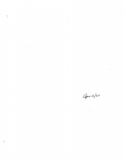$\hat{p}$  ,  $\hat{p}$  ,  $\hat{p}$ 

 $\label{eq:2.1} \frac{1}{\sqrt{2}}\left(\frac{1}{\sqrt{2}}\right)^{2} \left(\frac{1}{\sqrt{2}}\right)^{2} \left(\frac{1}{\sqrt{2}}\right)^{2} \left(\frac{1}{\sqrt{2}}\right)^{2} \left(\frac{1}{\sqrt{2}}\right)^{2} \left(\frac{1}{\sqrt{2}}\right)^{2} \left(\frac{1}{\sqrt{2}}\right)^{2} \left(\frac{1}{\sqrt{2}}\right)^{2} \left(\frac{1}{\sqrt{2}}\right)^{2} \left(\frac{1}{\sqrt{2}}\right)^{2} \left(\frac{1}{\sqrt{2}}\right)^{2} \left(\$ 

Apr 2/87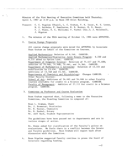Minutes of the 91st Meeting of Executive Committee held Thursday, April 2, 1987 at 3:30 p.m. in Room 250 Allen Building.

Present: C. C. Bigelow (Chair), L. C. Graham, P. K. Isaac, N. E. Losey, W. C. Baldwin, F. Hawthorne, N. R. Hunter, K. S. Mount, T. J. Wiens, H. C. Williams; P. Pachol (Sec.); J. McConnell, J. Wigston

 $1.$ The minutes of the 90th meeting of October 15, 1986 were APPROVED.

## $2.$ Course Change Proposals

All course change proposals were moved for APPROVAL by Associate Dean Graham on behalf of the Committee on Courses.

Applied Mathematics: Deletion of 6.146. CARRIED. Applied Mathematics/Statistics Joint Honors Program: 6.230 and 6.232 added to Option List. CARRIED. Department of Computer Science: Deletion of 74.417 and 74.408; addition of 74.4AA, 74.4AB, 74.4AC, and 74.3AA. CARRIED. Department of Mathematics & Astronomy: Deletion of 13.144 and modification to 13.454. CARRIED. Additions of 13.7AB and 13.7AC. CARRIED. Departments of Chemistry and Microbiology: Changes CARRIED. Other Faculty Courses: School of Art: Additions of 54.465 and 54.466 to other Faculty courses available for credit in a Science program. CARRIED. Faculty of Management: Addition of 27.111 for credit in a Science program. CARRIED.

## Committee on Professor and Course Evaluation

Dean Graham reported that, following a memo to the Executive Committee, the Standing Committee is composed of:

Dean L. Graham, Chair Dr. J. Brewster, Statistics Dr. N. Hunter, Chemistry Dr. N. Kenkel, Botany Mr. Jeff Buck, Student Representative

The guidelines have been passed out to departments and are in various stages of action.

Dr. Wiens asked for clarification of the Faculty's policy on evaluations. He feels there is a conflict between the Senate and Faculty guidelines. Dean Graham will report back after discussion with the Committee.

4. Dean Bigelow suggested Faculty continue to press the Board of Governors regarding funding.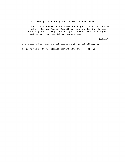The following motion was placed before the committee:

"In view of the Board of Governors stated position on the funding problems, Science Faculty Council now asks the Board of Governors what progress is being made in regard to the lack of funding for teaching equipment and library acquisitions."

CARRIED

 $\overline{1}$ 

 $\star\star_1$ 

Dean Bigelow then gave a brief update on the budget situation.

As there was no other business meeting adjourned.  $3:55$  p.m.